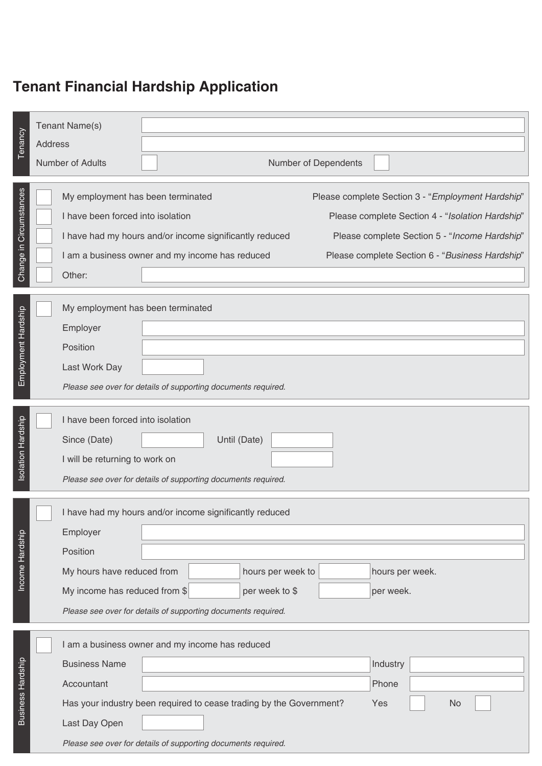## **Tenant Financial Hardship Application**

| Tenancy                  | Tenant Name(s)<br>Address<br>Number of Adults                                    | Number of Dependents                                                                                                                                 |                   |                                                                                                      |                                                                                                   |    |  |  |  |
|--------------------------|----------------------------------------------------------------------------------|------------------------------------------------------------------------------------------------------------------------------------------------------|-------------------|------------------------------------------------------------------------------------------------------|---------------------------------------------------------------------------------------------------|----|--|--|--|
|                          |                                                                                  |                                                                                                                                                      |                   |                                                                                                      |                                                                                                   |    |  |  |  |
| Change in Circumstances  | My employment has been terminated<br>I have been forced into isolation<br>Other: | I have had my hours and/or income significantly reduced<br>I am a business owner and my income has reduced                                           |                   | Please complete Section 3 - "Employment Hardship"<br>Please complete Section 6 - "Business Hardship" | Please complete Section 4 - "Isolation Hardship"<br>Please complete Section 5 - "Income Hardship" |    |  |  |  |
|                          |                                                                                  | My employment has been terminated                                                                                                                    |                   |                                                                                                      |                                                                                                   |    |  |  |  |
| Employment Hardship      | Employer                                                                         |                                                                                                                                                      |                   |                                                                                                      |                                                                                                   |    |  |  |  |
|                          | Position                                                                         |                                                                                                                                                      |                   |                                                                                                      |                                                                                                   |    |  |  |  |
|                          | Last Work Day                                                                    |                                                                                                                                                      |                   |                                                                                                      |                                                                                                   |    |  |  |  |
|                          |                                                                                  | Please see over for details of supporting documents required.                                                                                        |                   |                                                                                                      |                                                                                                   |    |  |  |  |
| Isolation Hardship       | Since (Date)                                                                     | I have been forced into isolation<br>Until (Date)<br>I will be returning to work on<br>Please see over for details of supporting documents required. |                   |                                                                                                      |                                                                                                   |    |  |  |  |
|                          |                                                                                  | I have had my hours and/or income significantly reduced                                                                                              |                   |                                                                                                      |                                                                                                   |    |  |  |  |
|                          | Employer                                                                         |                                                                                                                                                      |                   |                                                                                                      |                                                                                                   |    |  |  |  |
|                          | Position                                                                         |                                                                                                                                                      |                   |                                                                                                      |                                                                                                   |    |  |  |  |
| Income Hardship          | My hours have reduced from                                                       |                                                                                                                                                      | hours per week to |                                                                                                      | hours per week.                                                                                   |    |  |  |  |
|                          | My income has reduced from \$                                                    |                                                                                                                                                      | per week to \$    |                                                                                                      | per week.                                                                                         |    |  |  |  |
|                          |                                                                                  | Please see over for details of supporting documents required.                                                                                        |                   |                                                                                                      |                                                                                                   |    |  |  |  |
|                          |                                                                                  | I am a business owner and my income has reduced                                                                                                      |                   |                                                                                                      |                                                                                                   |    |  |  |  |
| <b>Business Hardship</b> | <b>Business Name</b>                                                             |                                                                                                                                                      |                   |                                                                                                      | Industry                                                                                          |    |  |  |  |
|                          | Accountant                                                                       |                                                                                                                                                      |                   |                                                                                                      | Phone                                                                                             |    |  |  |  |
|                          |                                                                                  | Has your industry been required to cease trading by the Government?                                                                                  |                   | Yes                                                                                                  |                                                                                                   | No |  |  |  |
|                          | Last Day Open                                                                    |                                                                                                                                                      |                   |                                                                                                      |                                                                                                   |    |  |  |  |
|                          | Please see over for details of supporting documents required.                    |                                                                                                                                                      |                   |                                                                                                      |                                                                                                   |    |  |  |  |